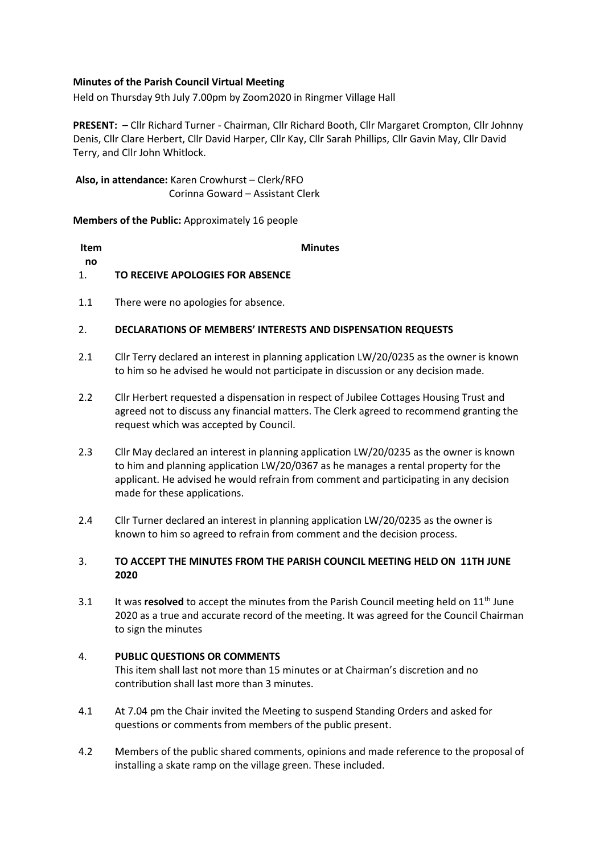## **Minutes of the Parish Council Virtual Meeting**

Held on Thursday 9th July 7.00pm by Zoom2020 in Ringmer Village Hall

**PRESENT:** – Cllr Richard Turner - Chairman, Cllr Richard Booth, Cllr Margaret Crompton, Cllr Johnny Denis, Cllr Clare Herbert, Cllr David Harper, Cllr Kay, Cllr Sarah Phillips, Cllr Gavin May, Cllr David Terry, and Cllr John Whitlock.

**Also, in attendance:** Karen Crowhurst – Clerk/RFO Corinna Goward – Assistant Clerk

**Members of the Public:** Approximately 16 people

| ltem |                                  | <b>Minutes</b> |
|------|----------------------------------|----------------|
| no   |                                  |                |
| 1.   | TO RECEIVE APOLOGIES FOR ABSENCE |                |
|      |                                  |                |

1.1 There were no apologies for absence.

### 2. **DECLARATIONS OF MEMBERS' INTERESTS AND DISPENSATION REQUESTS**

- 2.1 Cllr Terry declared an interest in planning application LW/20/0235 as the owner is known to him so he advised he would not participate in discussion or any decision made.
- 2.2 Cllr Herbert requested a dispensation in respect of Jubilee Cottages Housing Trust and agreed not to discuss any financial matters. The Clerk agreed to recommend granting the request which was accepted by Council.
- 2.3 Cllr May declared an interest in planning application LW/20/0235 as the owner is known to him and planning application LW/20/0367 as he manages a rental property for the applicant. He advised he would refrain from comment and participating in any decision made for these applications.
- 2.4 Cllr Turner declared an interest in planning application LW/20/0235 as the owner is known to him so agreed to refrain from comment and the decision process.

### 3. **TO ACCEPT THE MINUTES FROM THE PARISH COUNCIL MEETING HELD ON 11TH JUNE 2020**

3.1 It was **resolved** to accept the minutes from the Parish Council meeting held on 11<sup>th</sup> June 2020 as a true and accurate record of the meeting. It was agreed for the Council Chairman to sign the minutes

#### 4. **PUBLIC QUESTIONS OR COMMENTS**

This item shall last not more than 15 minutes or at Chairman's discretion and no contribution shall last more than 3 minutes.

- 4.1 At 7.04 pm the Chair invited the Meeting to suspend Standing Orders and asked for questions or comments from members of the public present.
- 4.2 Members of the public shared comments, opinions and made reference to the proposal of installing a skate ramp on the village green. These included.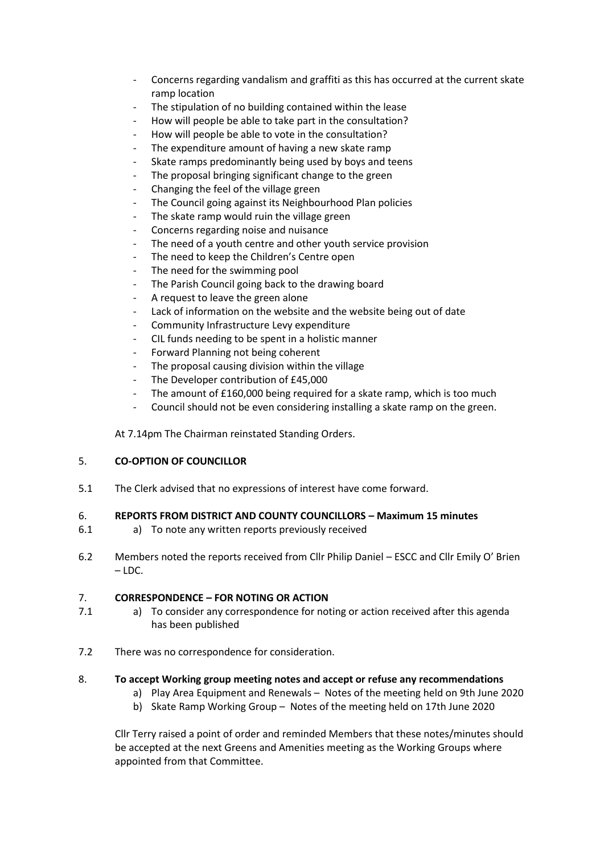- Concerns regarding vandalism and graffiti as this has occurred at the current skate ramp location
- The stipulation of no building contained within the lease
- How will people be able to take part in the consultation?
- How will people be able to vote in the consultation?
- The expenditure amount of having a new skate ramp
- Skate ramps predominantly being used by boys and teens
- The proposal bringing significant change to the green
- Changing the feel of the village green
- The Council going against its Neighbourhood Plan policies
- The skate ramp would ruin the village green
- Concerns regarding noise and nuisance
- The need of a youth centre and other youth service provision
- The need to keep the Children's Centre open
- The need for the swimming pool
- The Parish Council going back to the drawing board
- A request to leave the green alone
- Lack of information on the website and the website being out of date
- Community Infrastructure Levy expenditure
- CIL funds needing to be spent in a holistic manner
- Forward Planning not being coherent
- The proposal causing division within the village
- The Developer contribution of £45,000
- The amount of £160,000 being required for a skate ramp, which is too much
- Council should not be even considering installing a skate ramp on the green.

At 7.14pm The Chairman reinstated Standing Orders.

#### 5. **CO-OPTION OF COUNCILLOR**

5.1 The Clerk advised that no expressions of interest have come forward.

#### 6. **REPORTS FROM DISTRICT AND COUNTY COUNCILLORS – Maximum 15 minutes**

- 6.1 a) To note any written reports previously received
- 6.2 Members noted the reports received from Cllr Philip Daniel – ESCC and Cllr Emily O' Brien – LDC.

#### 7. **CORRESPONDENCE – FOR NOTING OR ACTION**

- 7.1 a) To consider any correspondence for noting or action received after this agenda has been published
- 7.2 There was no correspondence for consideration.

## 8. **To accept Working group meeting notes and accept or refuse any recommendations**

- a) Play Area Equipment and Renewals Notes of the meeting held on 9th June 2020
- b) Skate Ramp Working Group Notes of the meeting held on 17th June 2020

Cllr Terry raised a point of order and reminded Members that these notes/minutes should be accepted at the next Greens and Amenities meeting as the Working Groups where appointed from that Committee.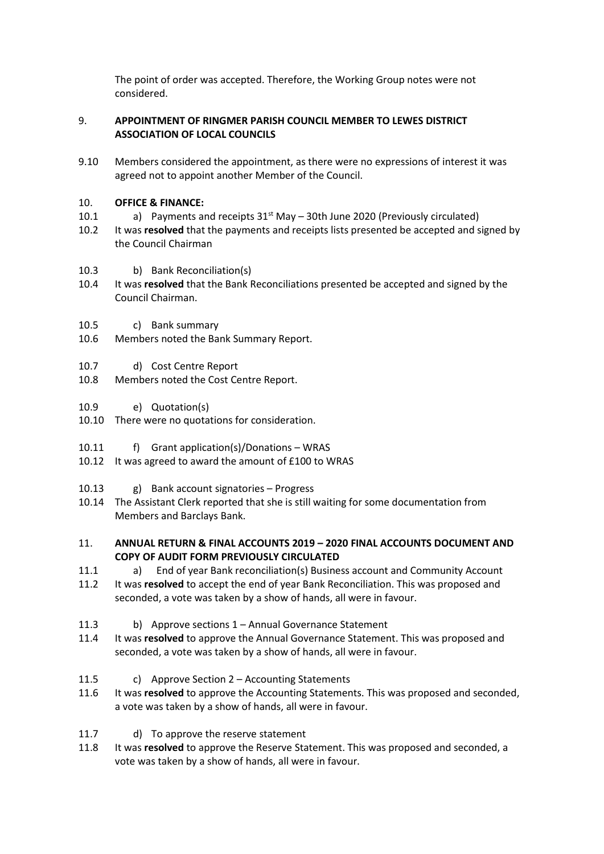The point of order was accepted. Therefore, the Working Group notes were not considered.

### 9. **APPOINTMENT OF RINGMER PARISH COUNCIL MEMBER TO LEWES DISTRICT ASSOCIATION OF LOCAL COUNCILS**

9.10 Members considered the appointment, as there were no expressions of interest it was agreed not to appoint another Member of the Council.

### 10. **OFFICE & FINANCE:**

- 10.1 a) Payments and receipts  $31<sup>st</sup>$  May – 30th June 2020 (Previously circulated)
- 10.2 It was **resolved** that the payments and receipts lists presented be accepted and signed by the Council Chairman
- 10.3 b) Bank Reconciliation(s)
- 10.4 It was **resolved** that the Bank Reconciliations presented be accepted and signed by the Council Chairman.
- 10.5 c) Bank summary
- 10.6 Members noted the Bank Summary Report.
- 10.7 d) Cost Centre Report
- 10.8 Members noted the Cost Centre Report.
- 10.9 e) Quotation(s)
- 10.10 There were no quotations for consideration.
- 10.11 f) Grant application(s)/Donations – WRAS
- 10.12 It was agreed to award the amount of £100 to WRAS
- 10.13 g) Bank account signatories – Progress
- 10.14 The Assistant Clerk reported that she is still waiting for some documentation from Members and Barclays Bank.

### 11. **ANNUAL RETURN & FINAL ACCOUNTS 2019 – 2020 FINAL ACCOUNTS DOCUMENT AND COPY OF AUDIT FORM PREVIOUSLY CIRCULATED**

- 11.1 a) End of year Bank reconciliation(s) Business account and Community Account
- 11.2 It was **resolved** to accept the end of year Bank Reconciliation. This was proposed and seconded, a vote was taken by a show of hands, all were in favour.
- 11.3 b) Approve sections 1 – Annual Governance Statement
- 11.4 It was **resolved** to approve the Annual Governance Statement. This was proposed and seconded, a vote was taken by a show of hands, all were in favour.
- 11.5 c) Approve Section 2 – Accounting Statements
- 11.6 It was **resolved** to approve the Accounting Statements. This was proposed and seconded, a vote was taken by a show of hands, all were in favour.
- 11.7 d) To approve the reserve statement
- 11.8 It was **resolved** to approve the Reserve Statement. This was proposed and seconded, a vote was taken by a show of hands, all were in favour.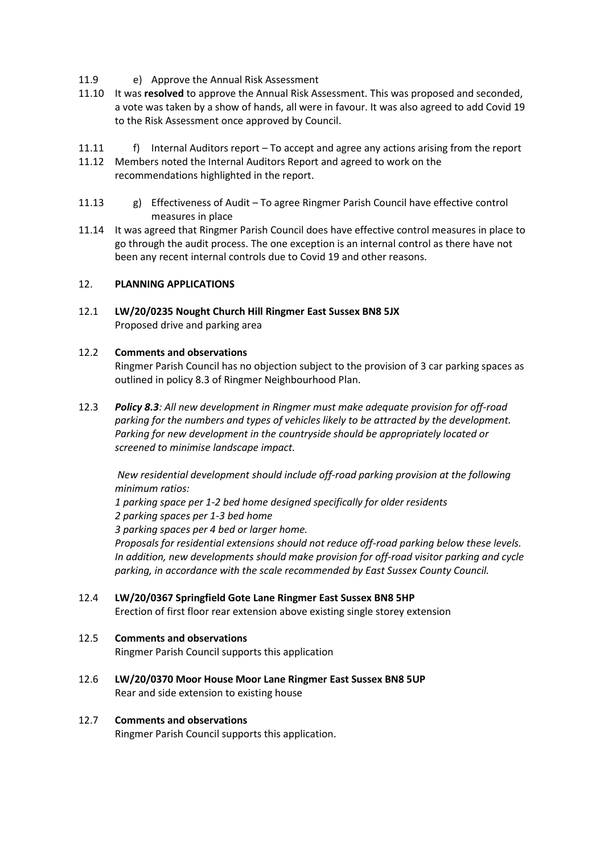- 11.9 e) Approve the Annual Risk Assessment
- 11.10 It was **resolved** to approve the Annual Risk Assessment. This was proposed and seconded, a vote was taken by a show of hands, all were in favour. It was also agreed to add Covid 19 to the Risk Assessment once approved by Council.
- 11.11 f) Internal Auditors report – To accept and agree any actions arising from the report
- 11.12 Members noted the Internal Auditors Report and agreed to work on the recommendations highlighted in the report.
- 11.13 g) Effectiveness of Audit – To agree Ringmer Parish Council have effective control measures in place
- 11.14 It was agreed that Ringmer Parish Council does have effective control measures in place to go through the audit process. The one exception is an internal control as there have not been any recent internal controls due to Covid 19 and other reasons.

### 12. **PLANNING APPLICATIONS**

12.1 **LW/20/0235 Nought Church Hill Ringmer East Sussex BN8 5JX** Proposed drive and parking area

### 12.2 **Comments and observations**

Ringmer Parish Council has no objection subject to the provision of 3 car parking spaces as outlined in policy 8.3 of Ringmer Neighbourhood Plan.

12.3 *Policy 8.3: All new development in Ringmer must make adequate provision for off-road parking for the numbers and types of vehicles likely to be attracted by the development. Parking for new development in the countryside should be appropriately located or screened to minimise landscape impact.*

*New residential development should include off-road parking provision at the following minimum ratios:* 

*1 parking space per 1-2 bed home designed specifically for older residents 2 parking spaces per 1-3 bed home* 

*3 parking spaces per 4 bed or larger home.* 

*Proposals for residential extensions should not reduce off-road parking below these levels. In addition, new developments should make provision for off-road visitor parking and cycle parking, in accordance with the scale recommended by East Sussex County Council.*

12.4 **LW/20/0367 Springfield Gote Lane Ringmer East Sussex BN8 5HP** Erection of first floor rear extension above existing single storey extension

### 12.5 **Comments and observations** Ringmer Parish Council supports this application

12.6 **LW/20/0370 Moor House Moor Lane Ringmer East Sussex BN8 5UP** Rear and side extension to existing house

### 12.7 **Comments and observations**

Ringmer Parish Council supports this application.